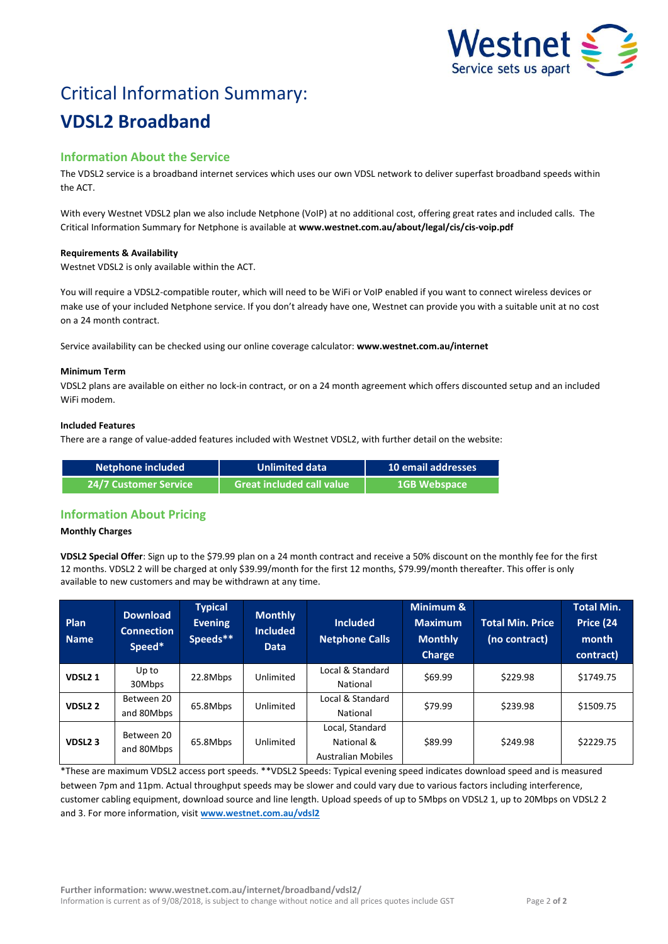

# Critical Information Summary: **VDSL2 Broadband**

# **Information About the Service**

The VDSL2 service is a broadband internet services which uses our own VDSL network to deliver superfast broadband speeds within the ACT.

With every Westnet VDSL2 plan we also include Netphone (VoIP) at no additional cost, offering great rates and included calls. The Critical Information Summary for Netphone is available at **www.westnet.com.au/about/legal/cis/cis-voip.pdf**

## **Requirements & Availability**

Westnet VDSL2 is only available within the ACT.

You will require a VDSL2-compatible router, which will need to be WiFi or VoIP enabled if you want to connect wireless devices or make use of your included Netphone service. If you don't already have one, Westnet can provide you with a suitable unit at no cost on a 24 month contract.

Service availability can be checked using our online coverage calculator: **www.westnet.com.au/internet**

#### **Minimum Term**

VDSL2 plans are available on either no lock-in contract, or on a 24 month agreement which offers discounted setup and an included WiFi modem.

#### **Included Features**

There are a range of value-added features included with Westnet VDSL2, with further detail on the website:

| Netphone included            | Unlimited data                   | 10 email addresses  |  |
|------------------------------|----------------------------------|---------------------|--|
| <b>24/7 Customer Service</b> | <b>Great included call value</b> | <b>1GB Webspace</b> |  |

# **Information About Pricing**

#### **Monthly Charges**

**VDSL2 Special Offer**: Sign up to the \$79.99 plan on a 24 month contract and receive a 50% discount on the monthly fee for the first 12 months. VDSL2 2 will be charged at only \$39.99/month for the first 12 months, \$79.99/month thereafter. This offer is only available to new customers and may be withdrawn at any time.

| Plan<br><b>Name</b> | <b>Download</b><br><b>Connection</b><br>Speed* | <b>Typical</b><br><b>Evening</b><br>Speeds** | <b>Monthly</b><br><b>Included</b><br><b>Data</b> | <b>Included</b><br><b>Netphone Calls</b>                   | Minimum &<br><b>Maximum</b><br><b>Monthly</b><br>Charge | <b>Total Min. Price</b><br>(no contract) | <b>Total Min.</b><br>Price (24<br>month<br>contract) |
|---------------------|------------------------------------------------|----------------------------------------------|--------------------------------------------------|------------------------------------------------------------|---------------------------------------------------------|------------------------------------------|------------------------------------------------------|
| VDSL <sub>21</sub>  | Up to<br>30Mbps                                | 22.8Mbps                                     | Unlimited                                        | Local & Standard<br>National                               | \$69.99                                                 | \$229.98                                 | \$1749.75                                            |
| VDSL <sub>2</sub> 2 | Between 20<br>and 80Mbps                       | 65.8Mbps                                     | Unlimited                                        | Local & Standard<br>National                               | \$79.99                                                 | \$239.98                                 | \$1509.75                                            |
| VDSL <sub>2</sub> 3 | Between 20<br>and 80Mbps                       | 65.8Mbps                                     | Unlimited                                        | Local, Standard<br>National &<br><b>Australian Mobiles</b> | \$89.99                                                 | \$249.98                                 | \$2229.75                                            |

\*These are maximum VDSL2 access port speeds. \*\*VDSL2 Speeds: Typical evening speed indicates download speed and is measured between 7pm and 11pm. Actual throughput speeds may be slower and could vary due to various factors including interference, customer cabling equipment, download source and line length. Upload speeds of up to 5Mbps on VDSL2 1, up to 20Mbps on VDSL2 2 and 3. For more information, visit **[www.westnet.com.au/vdsl2](http://www.westnet.com.au/vdsl2)**